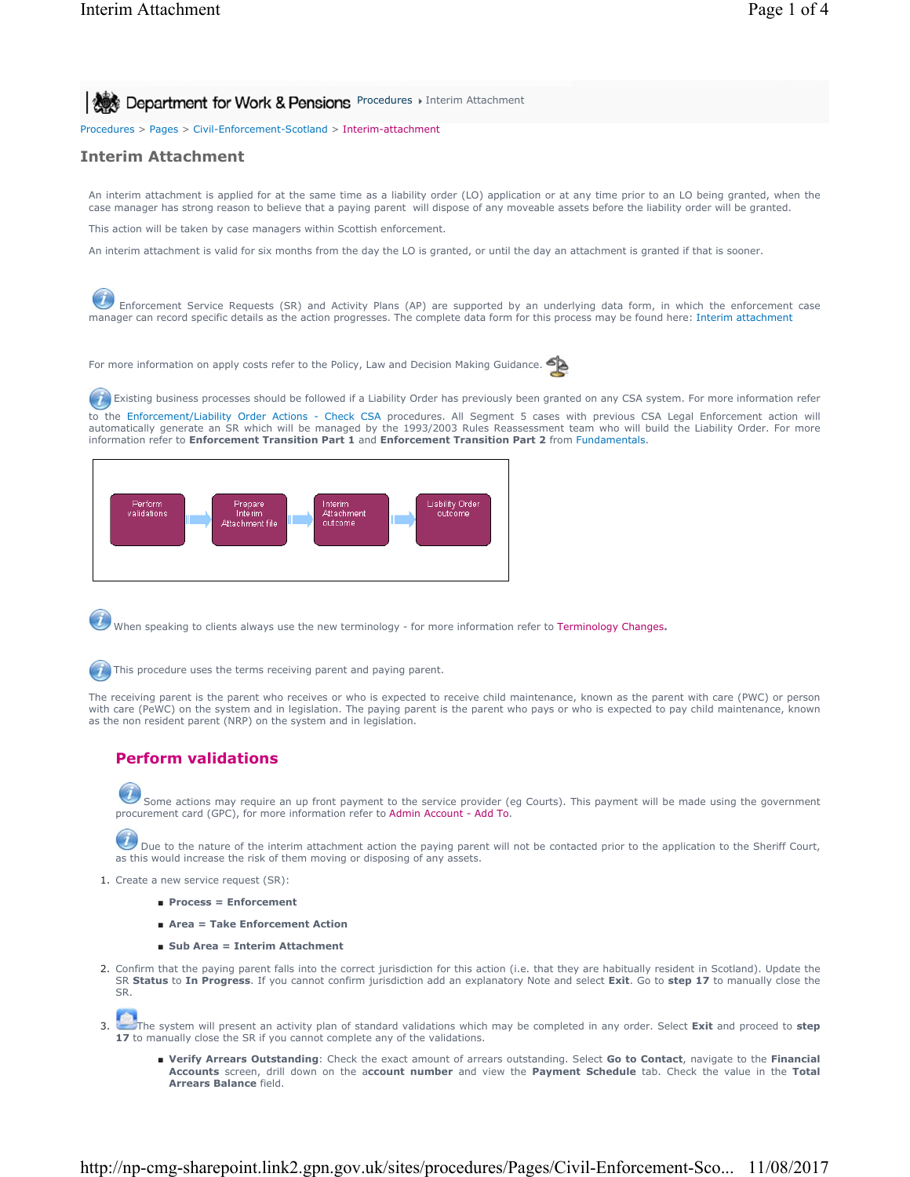**Procedures > Interim Attachment for Work & Pensions** Procedures > Interim Attachment

Procedures > Pages > Civil-Enforcement-Scotland > Interim-attachment

## **Interim Attachment**

An interim attachment is applied for at the same time as a liability order (LO) application or at any time prior to an LO being granted, when the case manager has strong reason to believe that a paying parent will dispose of any moveable assets before the liability order will be granted.

This action will be taken by case managers within Scottish enforcement.

An interim attachment is valid for six months from the day the LO is granted, or until the day an attachment is granted if that is sooner.

Enforcement Service Requests (SR) and Activity Plans (AP) are supported by an underlying data form, in which the enforcement case manager can record specific details as the action progresses. The complete data form for this process may be found here: Interim attachment

For more information on apply costs refer to the Policy, Law and Decision Making Guidance.

Existing business processes should be followed if a Liability Order has previously been granted on any CSA system. For more information refer to the Enforcement/Liability Order Actions - Check CSA procedures. All Segment 5 cases with previous CSA Legal Enforcement action will automatically generate an SR which will be managed by the 1993/2003 Rules Reassessment team who will build the Liability Order. For more information refer to **Enforcement Transition Part 1** and **Enforcement Transition Part 2** from Fundamentals.



When speaking to clients always use the new terminology - for more information refer to Terminology Changes**.**



**This procedure uses the terms receiving parent and paying parent.** 

The receiving parent is the parent who receives or who is expected to receive child maintenance, known as the parent with care (PWC) or person with care (PeWC) on the system and in legislation. The paying parent is the parent who pays or who is expected to pay child maintenance, known as the non resident parent (NRP) on the system and in legislation.

# **Perform validations**

Some actions may require an up front payment to the service provider (eg Courts). This payment will be made using the government procurement card (GPC), for more information refer to Admin Account - Add To.

Due to the nature of the interim attachment action the paying parent will not be contacted prior to the application to the Sheriff Court, as this would increase the risk of them moving or disposing of any assets.

- 1. Create a new service request (SR):
	- **Process = Enforcement**
	- **Area = Take Enforcement Action**
	- **Sub Area = Interim Attachment**
- 2. Confirm that the paying parent falls into the correct jurisdiction for this action (i.e. that they are habitually resident in Scotland). Update the SR **Status** to **In Progress**. If you cannot confirm jurisdiction add an explanatory Note and select **Exit**. Go to **step 17** to manually close the SR.

The system will present an activity plan of standard validations which may be completed in any order. Select **Exit** and proceed to **step**  3. 17 to manually close the SR if you cannot complete any of the validations.

■ Verify Arrears Outstanding: Check the exact amount of arrears outstanding. Select Go to Contact, navigate to the Financial **Accounts** screen, drill down on the a**ccount number** and view the **Payment Schedule** tab. Check the value in the **Total Arrears Balance** field.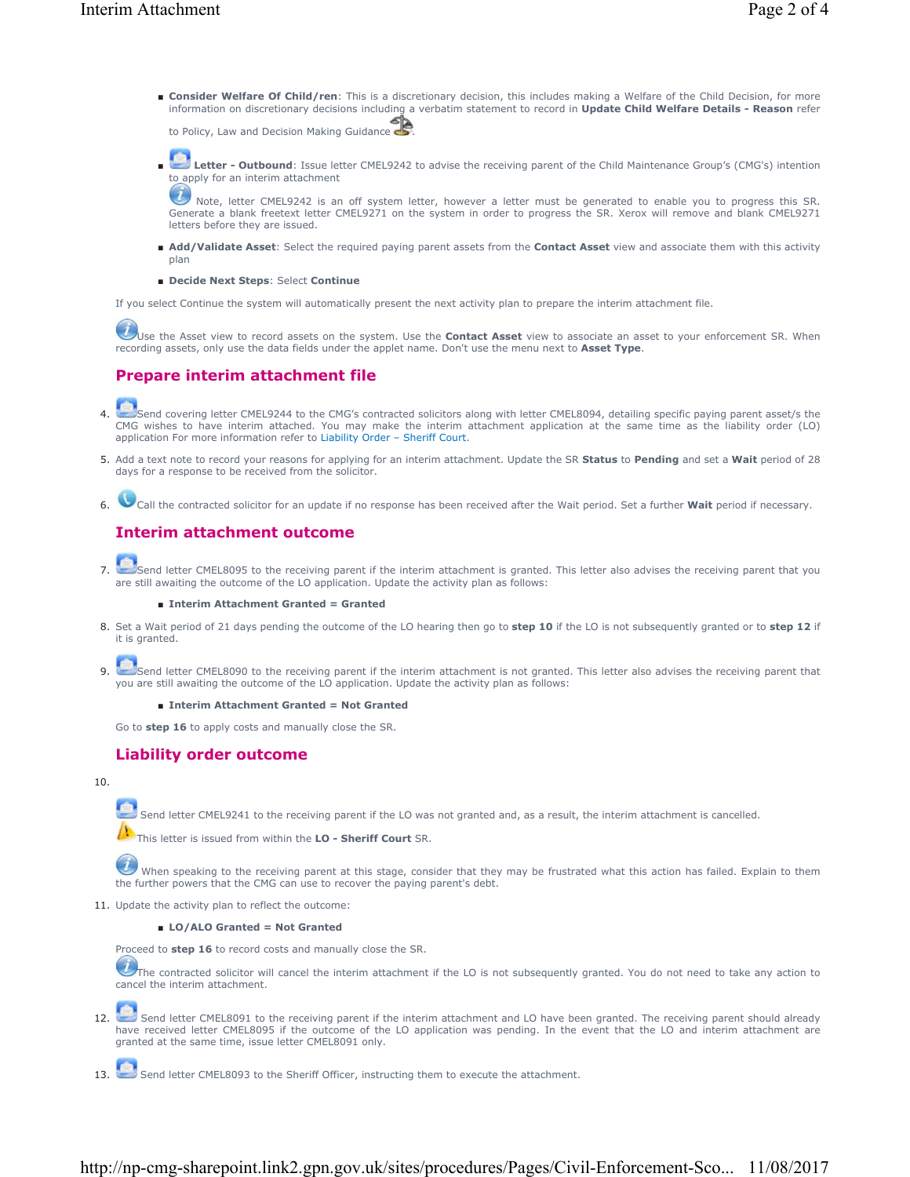■ Consider Welfare Of Child/ren: This is a discretionary decision, this includes making a Welfare of the Child Decision, for more information on discretionary decisions including a verbatim statement to record in **Update Child Welfare Details - Reason** refer

to Policy, Law and Decision Making Guidance

Letter - Outbound: Issue letter CMEL9242 to advise the receiving parent of the Child Maintenance Group's (CMG's) intention to apply for an interim attachment ■

Note, letter CMEL9242 is an off system letter, however a letter must be generated to enable you to progress this SR. Generate a blank freetext letter CMEL9271 on the system in order to progress the SR. Xerox will remove and blank CMEL9271 letters before they are issued.

- Add/Validate Asset: Select the required paying parent assets from the Contact Asset view and associate them with this activity plan
- **Decide Next Steps**: Select **Continue**

If you select Continue the system will automatically present the next activity plan to prepare the interim attachment file.

Use the Asset view to record assets on the system. Use the **Contact Asset** view to associate an asset to your enforcement SR. When recording assets, only use the data fields under the applet name. Don't use the menu next to **Asset Type**.

# **Prepare interim attachment file**

Send covering letter CMEL9244 to the CMG's contracted solicitors along with letter CMEL8094, detailing specific paying parent asset/s the CMG wishes to have interim attached. You may make the interim attachment application at the same time as the liability order (LO) application For more information refer to Liability Order – Sheriff Court. 4.

- Add a text note to record your reasons for applying for an interim attachment. Update the SR **Status** to **Pending** and set a **Wait** period of 28 5. days for a response to be received from the solicitor.
- 6. Call the contracted solicitor for an update if no response has been received after the Wait period. Set a further **Wait** period if necessary.

# **Interim attachment outcome**



Send letter CMEL8095 to the receiving parent if the interim attachment is granted. This letter also advises the receiving parent that you<br>are still awaiting the outcome of the LO application. Update the activity plan as fo 7.

### ■ **Interim Attachment Granted = Granted**

Set a Wait period of 21 days pending the outcome of the LO hearing then go to **step 10** if the LO is not subsequently granted or to **step 12** if 8. it is granted.

Send letter CMEL8090 to the receiving parent if the interim attachment is not granted. This letter also advises the receiving parent that you are still awaiting the outcome of the LO application. Update the activity plan as follows: 9.

#### ■ **Interim Attachment Granted = Not Granted**

Go to **step 16** to apply costs and manually close the SR.

## **Liability order outcome**

### 10.

Send letter CMEL9241 to the receiving parent if the LO was not granted and, as a result, the interim attachment is cancelled.

This letter is issued from within the **LO - Sheriff Court** SR.

When speaking to the receiving parent at this stage, consider that they may be frustrated what this action has failed. Explain to them the further powers that the CMG can use to recover the paying parent's debt.

11. Update the activity plan to reflect the outcome:

■ **LO/ALO Granted = Not Granted** 

Proceed to **step 16** to record costs and manually close the SR.

The contracted solicitor will cancel the interim attachment if the LO is not subsequently granted. You do not need to take any action to cancel the interim attachment.

Send letter CMEL8091 to the receiving parent if the interim attachment and LO have been granted. The receiving parent should already have received letter CMEL8095 if the outcome of the LO application was pending. In the event that the LO and interim attachment are granted at the same time, issue letter CMEL8091 only. 12.

Send letter CMEL8093 to the Sheriff Officer, instructing them to execute the attachment.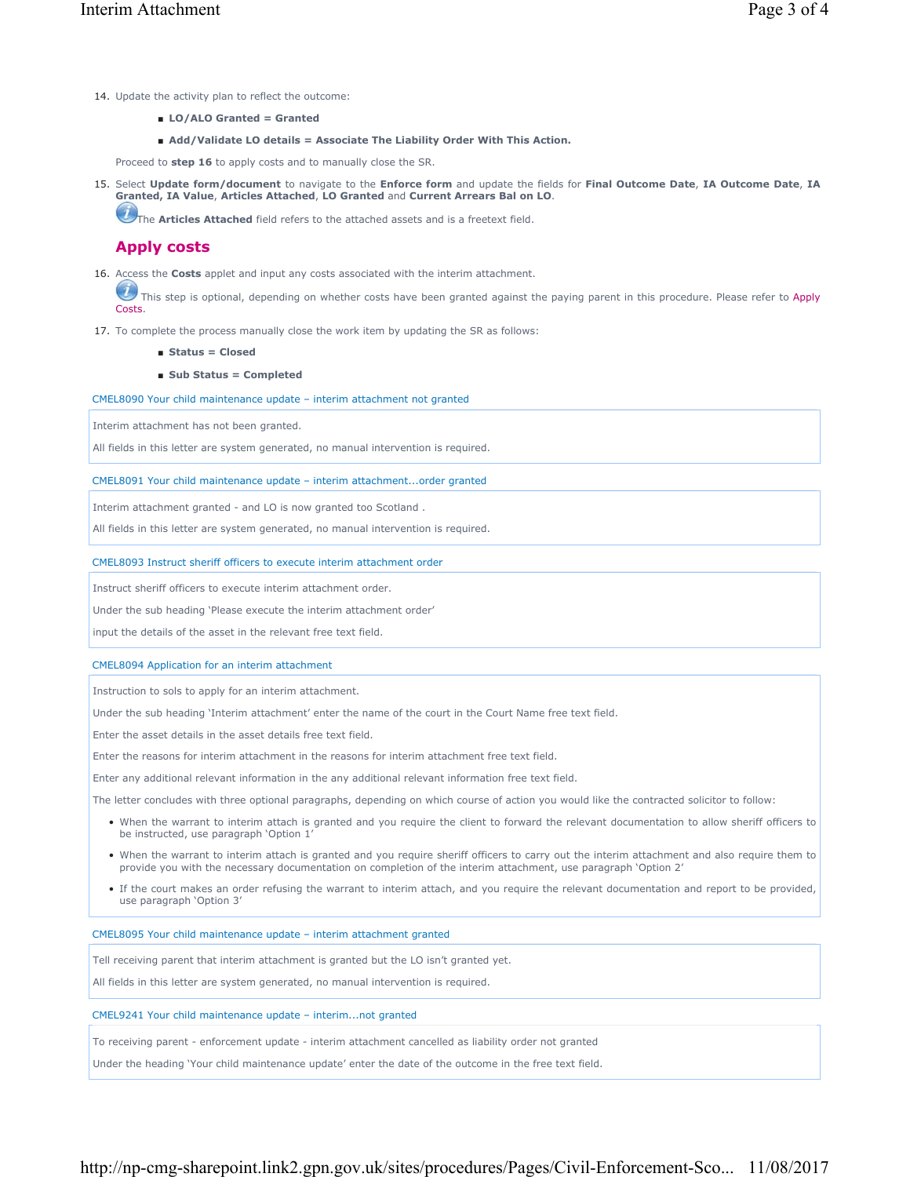- 14. Update the activity plan to reflect the outcome:
	- **LO/ALO Granted = Granted**
	- Add/Validate LO details = Associate The Liability Order With This Action.

Proceed to **step 16** to apply costs and to manually close the SR.

15. Select Update form/document to navigate to the Enforce form and update the fields for Final Outcome Date, IA Outcome Date, IA **Granted, IA Value**, **Articles Attached**, **LO Granted** and **Current Arrears Bal on LO**.

The **Articles Attached** field refers to the attached assets and is a freetext field.

## **Apply costs**

16. Access the **Costs** applet and input any costs associated with the interim attachment.

This step is optional, depending on whether costs have been granted against the paying parent in this procedure. Please refer to Apply Costs.

- 17. To complete the process manually close the work item by updating the SR as follows:
	- **Status = Closed**
	- **Sub Status = Completed**

CMEL8090 Your child maintenance update – interim attachment not granted

Interim attachment has not been granted.

All fields in this letter are system generated, no manual intervention is required.

#### CMEL8091 Your child maintenance update – interim attachment...order granted

Interim attachment granted - and LO is now granted too Scotland .

All fields in this letter are system generated, no manual intervention is required.

#### CMEL8093 Instruct sheriff officers to execute interim attachment order

Instruct sheriff officers to execute interim attachment order.

Under the sub heading 'Please execute the interim attachment order'

input the details of the asset in the relevant free text field.

### CMEL8094 Application for an interim attachment

Instruction to sols to apply for an interim attachment.

Under the sub heading 'Interim attachment' enter the name of the court in the Court Name free text field.

Enter the asset details in the asset details free text field.

Enter the reasons for interim attachment in the reasons for interim attachment free text field.

Enter any additional relevant information in the any additional relevant information free text field.

The letter concludes with three optional paragraphs, depending on which course of action you would like the contracted solicitor to follow:

- When the warrant to interim attach is granted and you require the client to forward the relevant documentation to allow sheriff officers to be instructed, use paragraph 'Option 1'
- When the warrant to interim attach is granted and you require sheriff officers to carry out the interim attachment and also require them to provide you with the necessary documentation on completion of the interim attachment, use paragraph 'Option 2'
- If the court makes an order refusing the warrant to interim attach, and you require the relevant documentation and report to be provided, use paragraph 'Option 3'

CMEL8095 Your child maintenance update – interim attachment granted

Tell receiving parent that interim attachment is granted but the LO isn't granted yet.

All fields in this letter are system generated, no manual intervention is required.

#### CMEL9241 Your child maintenance update – interim...not granted

To receiving parent - enforcement update - interim attachment cancelled as liability order not granted

Under the heading 'Your child maintenance update' enter the date of the outcome in the free text field.